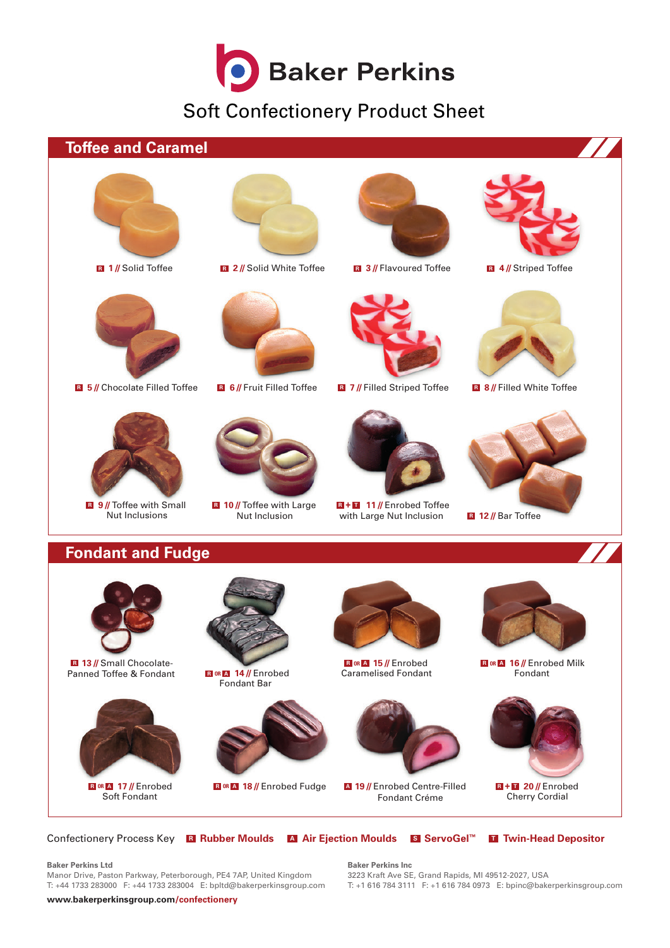

Soft Confectionery Product Sheet



Confectionery Process Key **<sup>R</sup> Rubber Moulds <sup>A</sup> Air Ejection Moulds <sup>S</sup> ServoGel™ <sup>T</sup> Twin-Head Depositor**

**Baker Perkins Ltd**

Manor Drive, Paston Parkway, Peterborough, PE4 7AP, United Kingdom T: +44 1733 283000 F: +44 1733 283004 E: bpltd@bakerperkinsgroup.com **Baker Perkins Inc** 3223 Kraft Ave SE, Grand Rapids, MI 49512-2027, USA T: +1 616 784 3111 F: +1 616 784 0973 E: bpinc@bakerperkinsgroup.com